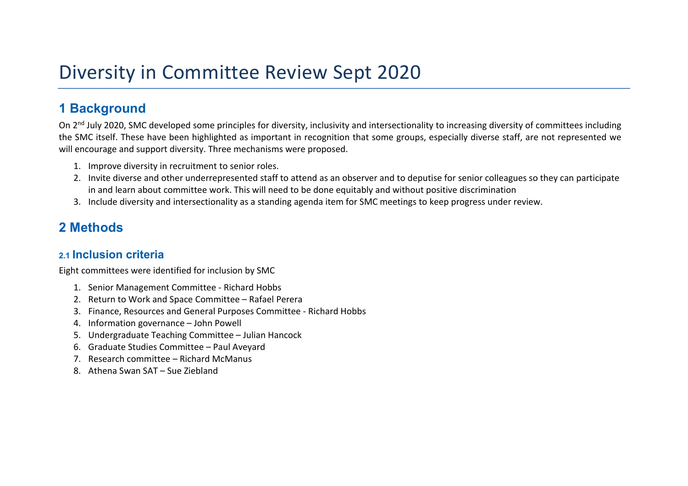# Diversity in Committee Review Sept 2020

# 1 Background

On 2<sup>nd</sup> July 2020, SMC developed some principles for diversity, inclusivity and intersectionality to increasing diversity of committees including the SMC itself. These have been highlighted as important in recognition that some groups, especially diverse staff, are not represented we will encourage and support diversity. Three mechanisms were proposed.

- 1. Improve diversity in recruitment to senior roles.
- 2. Invite diverse and other underrepresented staff to attend as an observer and to deputise for senior colleagues so they can participate in and learn about committee work. This will need to be done equitably and without positive discrimination
- 3. Include diversity and intersectionality as a standing agenda item for SMC meetings to keep progress under review.

# 2 Methods

### 2.1 Inclusion criteria

Eight committees were identified for inclusion by SMC

- 1. Senior Management Committee Richard Hobbs
- 2. Return to Work and Space Committee Rafael Perera
- 3. Finance, Resources and General Purposes Committee Richard Hobbs
- 4. Information governance John Powell
- 5. Undergraduate Teaching Committee Julian Hancock
- 6. Graduate Studies Committee Paul Aveyard
- 7. Research committee Richard McManus
- 8. Athena Swan SAT Sue Ziebland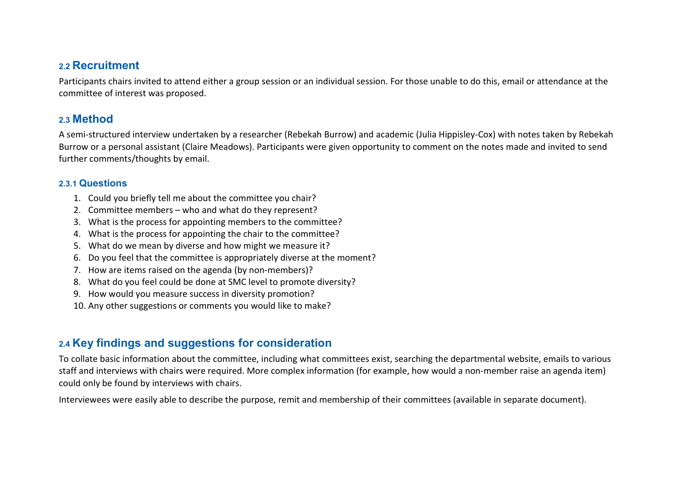### 2.2 Recruitment

Participants chairs invited to attend either a group session or an individual session. For those unable to do this, email or attendance at the committee of interest was proposed.

### 2.3 Method

A semi-structured interview undertaken by a researcher (Rebekah Burrow) and academic (Julia Hippisley-Cox) with notes taken by Rebekah Burrow or a personal assistant (Claire Meadows). Participants were given opportunity to comment on the notes made and invited to send further comments/thoughts by email.

#### 2.3.1 Questions

- 1. Could you briefly tell me about the committee you chair?
- 2. Committee members who and what do they represent?
- 3. What is the process for appointing members to the committee?
- 4. What is the process for appointing the chair to the committee?
- 5. What do we mean by diverse and how might we measure it?
- 6. Do you feel that the committee is appropriately diverse at the moment?
- 7. How are items raised on the agenda (by non-members)?
- 8. What do you feel could be done at SMC level to promote diversity?
- 9. How would you measure success in diversity promotion?
- 10. Any other suggestions or comments you would like to make?

## 2.4 Key findings and suggestions for consideration

To collate basic information about the committee, including what committees exist, searching the departmental website, emails to various staff and interviews with chairs were required. More complex information (for example, how would a non-member raise an agenda item) could only be found by interviews with chairs.

Interviewees were easily able to describe the purpose, remit and membership of their committees (available in separate document).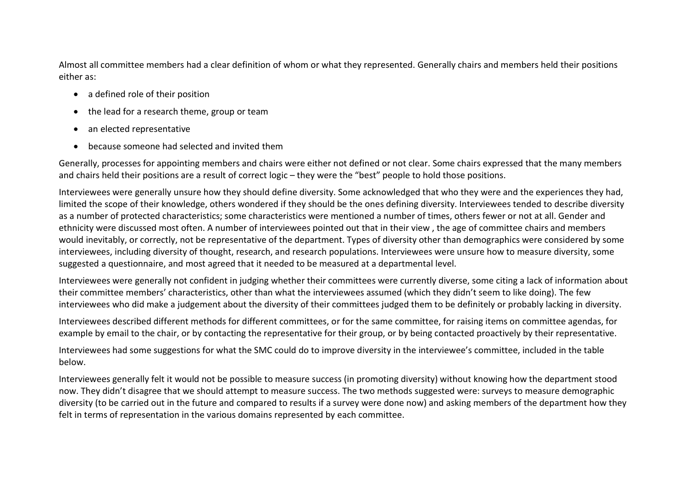Almost all committee members had a clear definition of whom or what they represented. Generally chairs and members held their positions either as:

- a defined role of their position
- the lead for a research theme, group or team
- an elected representative
- because someone had selected and invited them

Generally, processes for appointing members and chairs were either not defined or not clear. Some chairs expressed that the many members and chairs held their positions are a result of correct logic – they were the "best" people to hold those positions.

Interviewees were generally unsure how they should define diversity. Some acknowledged that who they were and the experiences they had, limited the scope of their knowledge, others wondered if they should be the ones defining diversity. Interviewees tended to describe diversity as a number of protected characteristics; some characteristics were mentioned a number of times, others fewer or not at all. Gender and ethnicity were discussed most often. A number of interviewees pointed out that in their view , the age of committee chairs and members would inevitably, or correctly, not be representative of the department. Types of diversity other than demographics were considered by some interviewees, including diversity of thought, research, and research populations. Interviewees were unsure how to measure diversity, some suggested a questionnaire, and most agreed that it needed to be measured at a departmental level.

Interviewees were generally not confident in judging whether their committees were currently diverse, some citing a lack of information about their committee members' characteristics, other than what the interviewees assumed (which they didn't seem to like doing). The few interviewees who did make a judgement about the diversity of their committees judged them to be definitely or probably lacking in diversity.

Interviewees described different methods for different committees, or for the same committee, for raising items on committee agendas, for example by email to the chair, or by contacting the representative for their group, or by being contacted proactively by their representative.

Interviewees had some suggestions for what the SMC could do to improve diversity in the interviewee's committee, included in the table below.

Interviewees generally felt it would not be possible to measure success (in promoting diversity) without knowing how the department stood now. They didn't disagree that we should attempt to measure success. The two methods suggested were: surveys to measure demographic diversity (to be carried out in the future and compared to results if a survey were done now) and asking members of the department how they felt in terms of representation in the various domains represented by each committee.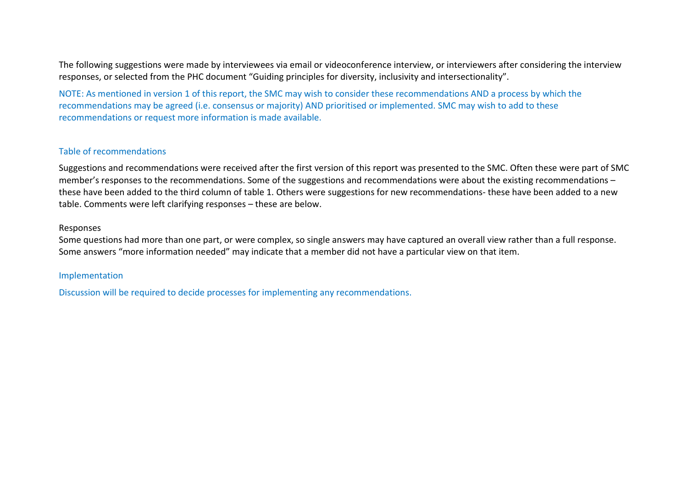The following suggestions were made by interviewees via email or videoconference interview, or interviewers after considering the interview responses, or selected from the PHC document "Guiding principles for diversity, inclusivity and intersectionality".

NOTE: As mentioned in version 1 of this report, the SMC may wish to consider these recommendations AND a process by which the recommendations may be agreed (i.e. consensus or majority) AND prioritised or implemented. SMC may wish to add to these recommendations or request more information is made available.

#### Table of recommendations

Suggestions and recommendations were received after the first version of this report was presented to the SMC. Often these were part of SMC member's responses to the recommendations. Some of the suggestions and recommendations were about the existing recommendations – these have been added to the third column of table 1. Others were suggestions for new recommendations- these have been added to a new table. Comments were left clarifying responses – these are below.

#### Responses

Some questions had more than one part, or were complex, so single answers may have captured an overall view rather than a full response. Some answers "more information needed" may indicate that a member did not have a particular view on that item.

#### Implementation

Discussion will be required to decide processes for implementing any recommendations.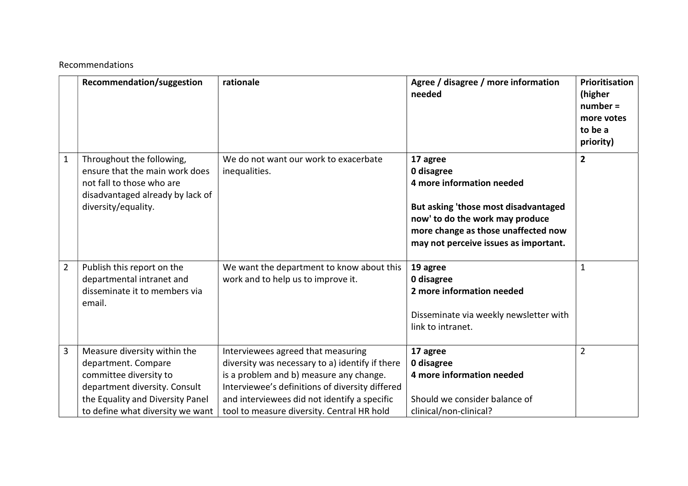#### Recommendations

|                | Recommendation/suggestion                                                                                                                                                              | rationale                                                                                                                                                                                                                                                                         | Agree / disagree / more information<br>needed                                                                                                                                                                  | Prioritisation<br>(higher<br>$number =$<br>more votes<br>to be a<br>priority) |
|----------------|----------------------------------------------------------------------------------------------------------------------------------------------------------------------------------------|-----------------------------------------------------------------------------------------------------------------------------------------------------------------------------------------------------------------------------------------------------------------------------------|----------------------------------------------------------------------------------------------------------------------------------------------------------------------------------------------------------------|-------------------------------------------------------------------------------|
| $\mathbf{1}$   | Throughout the following,<br>ensure that the main work does<br>not fall to those who are<br>disadvantaged already by lack of<br>diversity/equality.                                    | We do not want our work to exacerbate<br>inequalities.                                                                                                                                                                                                                            | 17 agree<br>0 disagree<br>4 more information needed<br>But asking 'those most disadvantaged<br>now' to do the work may produce<br>more change as those unaffected now<br>may not perceive issues as important. | $\overline{2}$                                                                |
| $\overline{2}$ | Publish this report on the<br>departmental intranet and<br>disseminate it to members via<br>email.                                                                                     | We want the department to know about this<br>work and to help us to improve it.                                                                                                                                                                                                   | 19 agree<br>0 disagree<br>2 more information needed<br>Disseminate via weekly newsletter with<br>link to intranet.                                                                                             | $\mathbf{1}$                                                                  |
| 3              | Measure diversity within the<br>department. Compare<br>committee diversity to<br>department diversity. Consult<br>the Equality and Diversity Panel<br>to define what diversity we want | Interviewees agreed that measuring<br>diversity was necessary to a) identify if there<br>is a problem and b) measure any change.<br>Interviewee's definitions of diversity differed<br>and interviewees did not identify a specific<br>tool to measure diversity. Central HR hold | 17 agree<br>0 disagree<br>4 more information needed<br>Should we consider balance of<br>clinical/non-clinical?                                                                                                 | $\overline{2}$                                                                |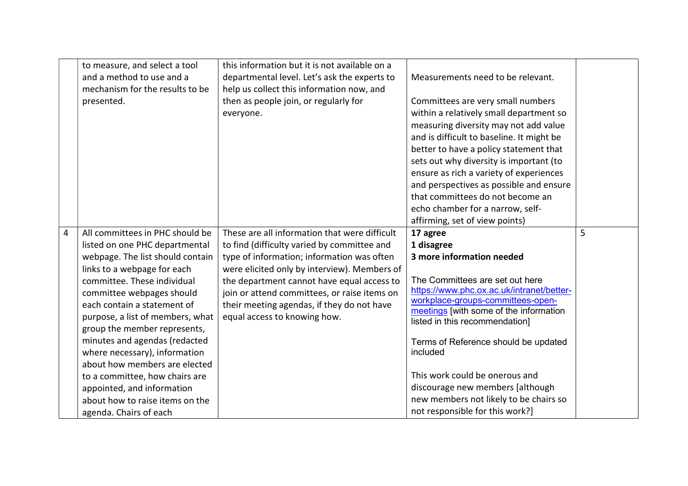|                | to measure, and select a tool<br>and a method to use and a<br>mechanism for the results to be | this information but it is not available on a<br>departmental level. Let's ask the experts to<br>help us collect this information now, and | Measurements need to be relevant.                                              |   |
|----------------|-----------------------------------------------------------------------------------------------|--------------------------------------------------------------------------------------------------------------------------------------------|--------------------------------------------------------------------------------|---|
|                | presented.                                                                                    | then as people join, or regularly for                                                                                                      | Committees are very small numbers                                              |   |
|                |                                                                                               | everyone.                                                                                                                                  | within a relatively small department so                                        |   |
|                |                                                                                               |                                                                                                                                            | measuring diversity may not add value                                          |   |
|                |                                                                                               |                                                                                                                                            | and is difficult to baseline. It might be                                      |   |
|                |                                                                                               |                                                                                                                                            | better to have a policy statement that                                         |   |
|                |                                                                                               |                                                                                                                                            | sets out why diversity is important (to                                        |   |
|                |                                                                                               |                                                                                                                                            | ensure as rich a variety of experiences                                        |   |
|                |                                                                                               |                                                                                                                                            | and perspectives as possible and ensure                                        |   |
|                |                                                                                               |                                                                                                                                            | that committees do not become an                                               |   |
|                |                                                                                               |                                                                                                                                            | echo chamber for a narrow, self-                                               |   |
|                |                                                                                               |                                                                                                                                            | affirming, set of view points)                                                 |   |
| $\overline{4}$ | All committees in PHC should be                                                               | These are all information that were difficult                                                                                              | 17 agree                                                                       | 5 |
|                | listed on one PHC departmental                                                                | to find (difficulty varied by committee and                                                                                                | 1 disagree                                                                     |   |
|                | webpage. The list should contain                                                              | type of information; information was often                                                                                                 | 3 more information needed                                                      |   |
|                | links to a webpage for each                                                                   | were elicited only by interview). Members of                                                                                               |                                                                                |   |
|                | committee. These individual                                                                   | the department cannot have equal access to                                                                                                 | The Committees are set out here                                                |   |
|                | committee webpages should                                                                     | join or attend committees, or raise items on                                                                                               | https://www.phc.ox.ac.uk/intranet/better-<br>workplace-groups-committees-open- |   |
|                | each contain a statement of                                                                   | their meeting agendas, if they do not have                                                                                                 | meetings [with some of the information                                         |   |
|                | purpose, a list of members, what                                                              | equal access to knowing how.                                                                                                               | listed in this recommendation]                                                 |   |
|                | group the member represents,                                                                  |                                                                                                                                            |                                                                                |   |
|                | minutes and agendas (redacted                                                                 |                                                                                                                                            | Terms of Reference should be updated                                           |   |
|                | where necessary), information                                                                 |                                                                                                                                            | included                                                                       |   |
|                | about how members are elected                                                                 |                                                                                                                                            |                                                                                |   |
|                | to a committee, how chairs are                                                                |                                                                                                                                            | This work could be onerous and                                                 |   |
|                | appointed, and information                                                                    |                                                                                                                                            | discourage new members [although                                               |   |
|                | about how to raise items on the                                                               |                                                                                                                                            | new members not likely to be chairs so                                         |   |
|                | agenda. Chairs of each                                                                        |                                                                                                                                            | not responsible for this work?]                                                |   |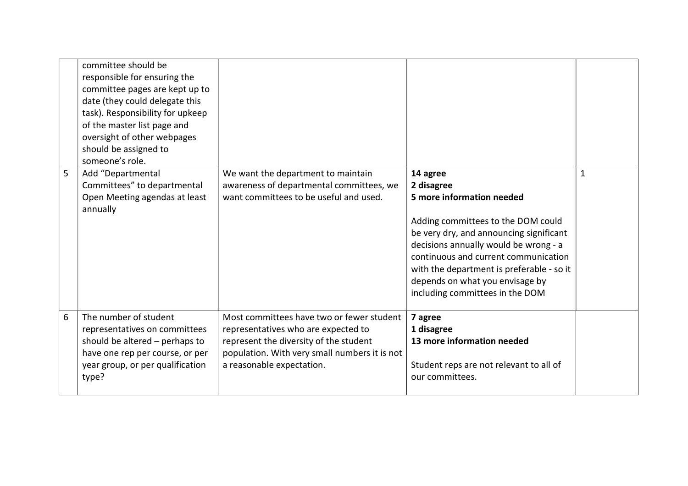|   | committee should be<br>responsible for ensuring the<br>committee pages are kept up to<br>date (they could delegate this<br>task). Responsibility for upkeep<br>of the master list page and<br>oversight of other webpages<br>should be assigned to<br>someone's role. |                                                                                                                                                                                                          |                                                                                                                                                                                                                                                                                                                                          |              |
|---|-----------------------------------------------------------------------------------------------------------------------------------------------------------------------------------------------------------------------------------------------------------------------|----------------------------------------------------------------------------------------------------------------------------------------------------------------------------------------------------------|------------------------------------------------------------------------------------------------------------------------------------------------------------------------------------------------------------------------------------------------------------------------------------------------------------------------------------------|--------------|
| 5 | Add "Departmental<br>Committees" to departmental<br>Open Meeting agendas at least<br>annually                                                                                                                                                                         | We want the department to maintain<br>awareness of departmental committees, we<br>want committees to be useful and used.                                                                                 | 14 agree<br>2 disagree<br>5 more information needed<br>Adding committees to the DOM could<br>be very dry, and announcing significant<br>decisions annually would be wrong - a<br>continuous and current communication<br>with the department is preferable - so it<br>depends on what you envisage by<br>including committees in the DOM | $\mathbf{1}$ |
| 6 | The number of student<br>representatives on committees<br>should be altered - perhaps to<br>have one rep per course, or per<br>year group, or per qualification<br>type?                                                                                              | Most committees have two or fewer student<br>representatives who are expected to<br>represent the diversity of the student<br>population. With very small numbers it is not<br>a reasonable expectation. | 7 agree<br>1 disagree<br>13 more information needed<br>Student reps are not relevant to all of<br>our committees.                                                                                                                                                                                                                        |              |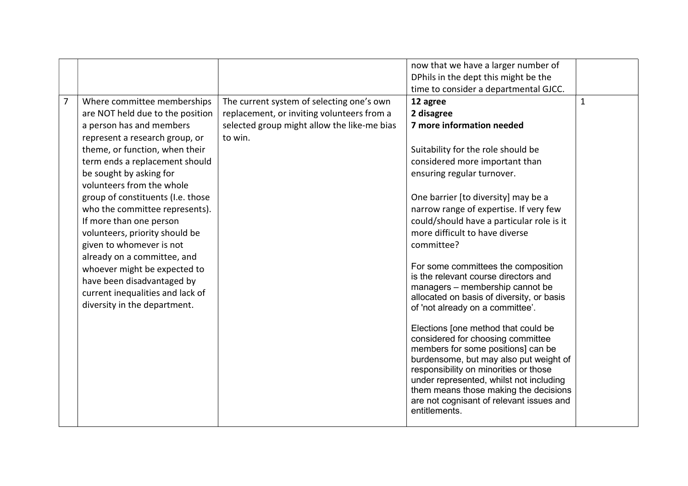|                |                                   |                                             | now that we have a larger number of                                               |              |
|----------------|-----------------------------------|---------------------------------------------|-----------------------------------------------------------------------------------|--------------|
|                |                                   |                                             | DPhils in the dept this might be the                                              |              |
|                |                                   |                                             | time to consider a departmental GJCC.                                             |              |
| $\overline{7}$ | Where committee memberships       | The current system of selecting one's own   | 12 agree                                                                          | $\mathbf{1}$ |
|                | are NOT held due to the position  | replacement, or inviting volunteers from a  | 2 disagree                                                                        |              |
|                | a person has and members          | selected group might allow the like-me bias | 7 more information needed                                                         |              |
|                | represent a research group, or    | to win.                                     |                                                                                   |              |
|                | theme, or function, when their    |                                             | Suitability for the role should be                                                |              |
|                | term ends a replacement should    |                                             | considered more important than                                                    |              |
|                | be sought by asking for           |                                             | ensuring regular turnover.                                                        |              |
|                | volunteers from the whole         |                                             |                                                                                   |              |
|                | group of constituents (I.e. those |                                             | One barrier [to diversity] may be a                                               |              |
|                | who the committee represents).    |                                             | narrow range of expertise. If very few                                            |              |
|                | If more than one person           |                                             | could/should have a particular role is it                                         |              |
|                | volunteers, priority should be    |                                             | more difficult to have diverse                                                    |              |
|                | given to whomever is not          |                                             | committee?                                                                        |              |
|                | already on a committee, and       |                                             |                                                                                   |              |
|                | whoever might be expected to      |                                             | For some committees the composition                                               |              |
|                | have been disadvantaged by        |                                             | is the relevant course directors and                                              |              |
|                | current inequalities and lack of  |                                             | managers - membership cannot be                                                   |              |
|                | diversity in the department.      |                                             | allocated on basis of diversity, or basis                                         |              |
|                |                                   |                                             | of 'not already on a committee'.                                                  |              |
|                |                                   |                                             | Elections [one method that could be                                               |              |
|                |                                   |                                             | considered for choosing committee                                                 |              |
|                |                                   |                                             | members for some positions] can be                                                |              |
|                |                                   |                                             | burdensome, but may also put weight of                                            |              |
|                |                                   |                                             | responsibility on minorities or those                                             |              |
|                |                                   |                                             | under represented, whilst not including                                           |              |
|                |                                   |                                             | them means those making the decisions<br>are not cognisant of relevant issues and |              |
|                |                                   |                                             | entitlements.                                                                     |              |
|                |                                   |                                             |                                                                                   |              |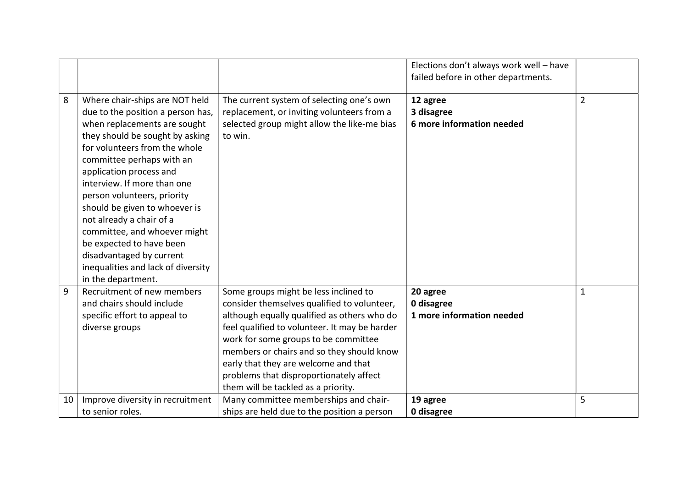|    |                                                                                                                                                                                                                                                                                                                                                                                                                                                                                                                |                                                                                                                                                                                                                                                                                                                                                                                                     | Elections don't always work well - have<br>failed before in other departments. |                |
|----|----------------------------------------------------------------------------------------------------------------------------------------------------------------------------------------------------------------------------------------------------------------------------------------------------------------------------------------------------------------------------------------------------------------------------------------------------------------------------------------------------------------|-----------------------------------------------------------------------------------------------------------------------------------------------------------------------------------------------------------------------------------------------------------------------------------------------------------------------------------------------------------------------------------------------------|--------------------------------------------------------------------------------|----------------|
| 8  | Where chair-ships are NOT held<br>due to the position a person has,<br>when replacements are sought<br>they should be sought by asking<br>for volunteers from the whole<br>committee perhaps with an<br>application process and<br>interview. If more than one<br>person volunteers, priority<br>should be given to whoever is<br>not already a chair of a<br>committee, and whoever might<br>be expected to have been<br>disadvantaged by current<br>inequalities and lack of diversity<br>in the department. | The current system of selecting one's own<br>replacement, or inviting volunteers from a<br>selected group might allow the like-me bias<br>to win.                                                                                                                                                                                                                                                   | 12 agree<br>3 disagree<br>6 more information needed                            | $\overline{2}$ |
| 9  | Recruitment of new members<br>and chairs should include<br>specific effort to appeal to<br>diverse groups                                                                                                                                                                                                                                                                                                                                                                                                      | Some groups might be less inclined to<br>consider themselves qualified to volunteer,<br>although equally qualified as others who do<br>feel qualified to volunteer. It may be harder<br>work for some groups to be committee<br>members or chairs and so they should know<br>early that they are welcome and that<br>problems that disproportionately affect<br>them will be tackled as a priority. | 20 agree<br>0 disagree<br>1 more information needed                            | $\mathbf 1$    |
| 10 | Improve diversity in recruitment<br>to senior roles.                                                                                                                                                                                                                                                                                                                                                                                                                                                           | Many committee memberships and chair-<br>ships are held due to the position a person                                                                                                                                                                                                                                                                                                                | 19 agree<br>0 disagree                                                         | 5              |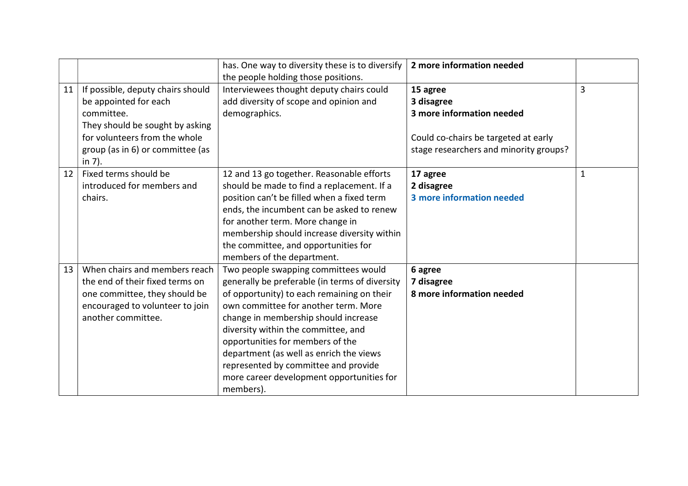|    |                                                                                                                                                                                            | has. One way to diversity these is to diversify<br>the people holding those positions.                                                                                                                                                                                                                                                                                                                                                       | 2 more information needed                                                                                                             |              |
|----|--------------------------------------------------------------------------------------------------------------------------------------------------------------------------------------------|----------------------------------------------------------------------------------------------------------------------------------------------------------------------------------------------------------------------------------------------------------------------------------------------------------------------------------------------------------------------------------------------------------------------------------------------|---------------------------------------------------------------------------------------------------------------------------------------|--------------|
| 11 | If possible, deputy chairs should<br>be appointed for each<br>committee.<br>They should be sought by asking<br>for volunteers from the whole<br>group (as in 6) or committee (as<br>in 7). | Interviewees thought deputy chairs could<br>add diversity of scope and opinion and<br>demographics.                                                                                                                                                                                                                                                                                                                                          | 15 agree<br>3 disagree<br>3 more information needed<br>Could co-chairs be targeted at early<br>stage researchers and minority groups? | 3            |
| 12 | Fixed terms should be<br>introduced for members and<br>chairs.                                                                                                                             | 12 and 13 go together. Reasonable efforts<br>should be made to find a replacement. If a<br>position can't be filled when a fixed term<br>ends, the incumbent can be asked to renew<br>for another term. More change in<br>membership should increase diversity within<br>the committee, and opportunities for<br>members of the department.                                                                                                  | 17 agree<br>2 disagree<br>3 more information needed                                                                                   | $\mathbf{1}$ |
| 13 | When chairs and members reach<br>the end of their fixed terms on<br>one committee, they should be<br>encouraged to volunteer to join<br>another committee.                                 | Two people swapping committees would<br>generally be preferable (in terms of diversity<br>of opportunity) to each remaining on their<br>own committee for another term. More<br>change in membership should increase<br>diversity within the committee, and<br>opportunities for members of the<br>department (as well as enrich the views<br>represented by committee and provide<br>more career development opportunities for<br>members). | 6 agree<br>7 disagree<br>8 more information needed                                                                                    |              |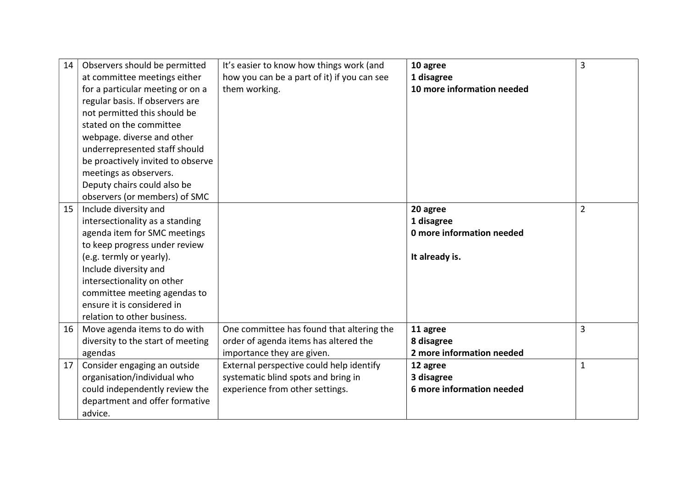| 14 | Observers should be permitted<br>at committee meetings either<br>for a particular meeting or on a<br>regular basis. If observers are<br>not permitted this should be<br>stated on the committee                                                                                                           | It's easier to know how things work (and<br>how you can be a part of it) if you can see<br>them working.           | 10 agree<br>1 disagree<br>10 more information needed                  | $\overline{3}$ |
|----|-----------------------------------------------------------------------------------------------------------------------------------------------------------------------------------------------------------------------------------------------------------------------------------------------------------|--------------------------------------------------------------------------------------------------------------------|-----------------------------------------------------------------------|----------------|
|    | webpage. diverse and other<br>underrepresented staff should<br>be proactively invited to observe<br>meetings as observers.<br>Deputy chairs could also be<br>observers (or members) of SMC                                                                                                                |                                                                                                                    |                                                                       |                |
| 15 | Include diversity and<br>intersectionality as a standing<br>agenda item for SMC meetings<br>to keep progress under review<br>(e.g. termly or yearly).<br>Include diversity and<br>intersectionality on other<br>committee meeting agendas to<br>ensure it is considered in<br>relation to other business. |                                                                                                                    | 20 agree<br>1 disagree<br>0 more information needed<br>It already is. | $\overline{2}$ |
| 16 | Move agenda items to do with<br>diversity to the start of meeting<br>agendas                                                                                                                                                                                                                              | One committee has found that altering the<br>order of agenda items has altered the<br>importance they are given.   | 11 agree<br>8 disagree<br>2 more information needed                   | 3              |
| 17 | Consider engaging an outside<br>organisation/individual who<br>could independently review the<br>department and offer formative<br>advice.                                                                                                                                                                | External perspective could help identify<br>systematic blind spots and bring in<br>experience from other settings. | 12 agree<br>3 disagree<br>6 more information needed                   | $\mathbf{1}$   |